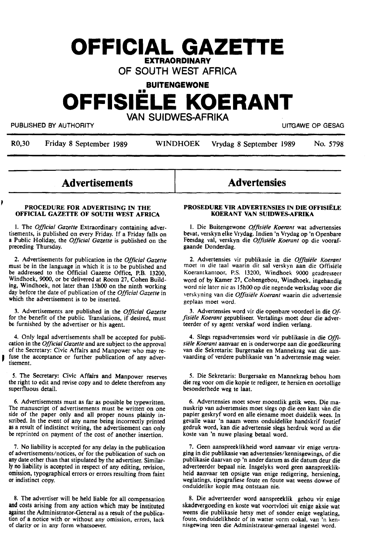# **OFFICIAL GAZETTE EXTRAORDINARY**

**OF SOUTH WEST AFRICA** 

**BUITENGEWONE** 

# •• **OFFISIELE KOERANT**

**VAN SUIDWES-AFRIKA** 

PUBLISHED BY AUTHORITY **EXECUTE A SECURE 2018 THE SECURE 2019 OF SESAGREED BY AUTHORITY** 

R0,30 Friday 8 September 1989 WINDHOEK Vrydag 8 September 1989 No. 5798

# **Advertisements**

#### **PROCEDURE FOR ADVERTISING IN THE OFFICIAL GAZETTE OF SOUTH WEST AFRICA**

I. The *Official Gazette* Extraordinary containing advertisements, is published on every Friday. If a Friday falls on a Public Holiday, the *Official Gazette* is published on the preceding Thursday.

2. Advertisements for publication in the *Official Gazette*  must be in the language in which it is to be published and be addressed to the Official Gazette Office, **P.B.** 13200, Windhoek, 9000, or be·delivered at Room 27, Cohen Building, Windhoek, not later than 15h00 on the ninth working day before the date of publication of the *Official Gazette* in which the advertisement is to be inserted.

3. Advertisements are published in the *Official Gazette*  for the benefit of the public. Translations, if desired, must be furnished by the advertiser or his agent.

4. Only legal advertisements shall be accepted for publication in the *Official Gazette* and are subject to the approval of the Secretary: Civic Affairs and Manpower who may refuse the acceptance or further publication of any advertisement.

*5.* The Secretary: Civic Affairs and Manpower reserves the right to edit and revise copy and to delete therefrom any superfluous detail.

6. Advertisements must as far as possible be typewritten. The manuscript of advertisements must be written on one side of the paper only and all proper nouns plainly inscribed. In the event of any name being incorrectly printed as a result of indistinct writing, the advertisement can only be reprinted on payment of the cost of another insertion.

7. No liability is accepted for any delay in the publication of advertisements/notices, *oi* for the publication of such on any date other than that stipulated by the advertiser. Similarly no liability is accepted in respect of any editing, revision, omission, typographical errors or errors resulting from faint or indistinct copy.

8. The advertiser will be held liable for all compensation and costs arising from any action which may be instituted against the Administrator-General as a result of the publication of **a** notice with or without any omission, errors, lack of clarity or in any form whatsoever.

# **Advertensies**

#### **PROSEDURE VIR ADVERTENSIES IN DIE OFFISitLE KOERANT VAN SUIDWES-AFRIKA**

I. Die Buitengewone *Offisiele Koerant* **wat** advertensies bevat, verskyn elke Vrydag. Indien 'n Vrydag op 'n Openbare Feesdag val, verskyn die *Offisiele Koerant* op die voorafgaande Donderdag.

2. Advertensies vir publikasie in die *Offisiele Koerant*  moet in die taal waarin dit sat verskyn aan die Offisiele Koerantkantoor, P.S. 13200, Windhoek 9000 geadresseer word of by **Kamer** 27, Cohengebou, Windhoek, ingehandig word nie later nie as 15h00 op die negende werksdag voor die verskyning van die *Offisiele Koerant* waarin die advertensie geplaas moet word.

3. Advertensies word vir die openbare voordeel in **die** *Offisiele Koerant* gepubliseer. Vertalings moet deur die adverteerder of sy agent verskaf word indien verlang.

4. Slegs regsadvertensies word vir publikasie in die *Offisie/e Koerant* aanvaar en is onderworpe aan die goedkeuring van die Sekretaris: Burgersake en Mannekrag wat die aanvaarding of verdere publikasie van 'n advertensie mag weier.

*5.* Die Sekretaris: Burgersake en Mannekrag behou horn die reg voor om die kopie te redigeer, te hersien en oortollige besonderhede weg te laat.

6. Advertensies moet sover moontlik getik wees. Die manuskrip van advertensies moet slegs op die een kant van die papier geskryf word en alle eiename moet duidelik wees. In gevalle waar 'n naam weens onduidelike handskrif foutief gedruk word, kan die advertensie slegs herdruk word as die koste van 'n nuwe plasing betaal word.

7. Geen aanspreeklikheid word aanvaar vir enige vertraging in die publikasie van advertensies/kennisgewings, of die publikasie daarvan op 'n ander datum as die datum deur die adverteerder bepaal nie. Insgelyks word geen aanspreeklikheid aanvaar ten opsigte van enige redigering, hersiening, weglatings, tipografiese foute en foute wat weens dowwe of onduidelike kopie mag ontstaan nie.

8. Die adverteerder word aanspreeklik gehou vir enige skadevergoeding en koste wat voortvloei uit enige aksie wat weens die publikasie hetsy met of sonder enige weglating, foute, onduidelikhede of in watter vorm ookal, van 'n kennisgewing teen die Administrateur-generaal ingestel word.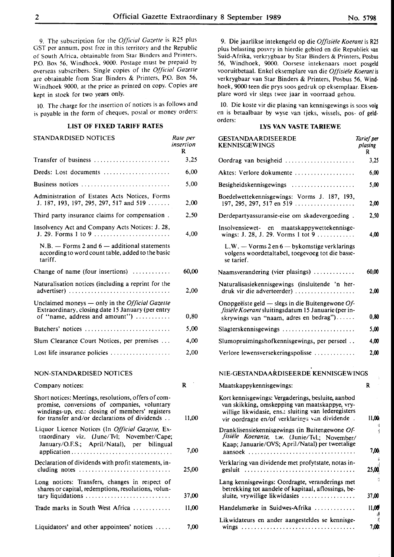9. The subscription for the *Official Gazette* is R25 plus GST per annum, post free in this territory and the Republic of South Africa, obtainable from Star Binders and Printers, P.O. Box 56, Windhoek, 9000. Postage must be prepaid by overseas subscribers. Single copies of the *Official Gazette*  are obtainable from Star Binders & Printers, P.O. Box 56, Windhoek 9000, at the price as printed on copy. Copies are kept in stock for two years only.

IO. The charge for the insertion of notices is as follows and is payable in the form of cheques, postal or money orders:

## **LIST OF FIXED TARIFF RATES**

| STANDARDISED NOTICES                                                                                                                          | Rate per<br>insertion<br>R |
|-----------------------------------------------------------------------------------------------------------------------------------------------|----------------------------|
| Transfer of business                                                                                                                          | 3,25                       |
| Deeds: Lost documents                                                                                                                         | 6,00                       |
| Business notices                                                                                                                              | 5.00                       |
| Administration of Estates Acts Notices, Forms<br>J. 187, 193, 197, 295, 297, 517 and 519                                                      | 2,00                       |
| Third party insurance claims for compensation.                                                                                                | 2,50                       |
| Insolvency Act and Company Acts Notices: J. 28,<br>J. 29. Forms 1 to 9                                                                        | 4.00                       |
| $N.B.$ - Forms 2 and 6 - additional statements<br>according to word count table, added to the basic<br>tariff.                                |                            |
| Change of name (four insertions)                                                                                                              | 60,00                      |
| Naturalisation notices (including a reprint for the<br>advertiser)                                                                            | 2,00                       |
| Unclaimed moneys — only in the <i>Official Gazette</i><br>Extraordinary, closing date 15 January (per entry<br>of "name, address and amount") | 0,80                       |
| Butchers' notices                                                                                                                             | 5.00                       |
| Slum Clearance Court Notices, per premises                                                                                                    | 4,00                       |
| Lost life insurance policies                                                                                                                  | 2,00                       |
|                                                                                                                                               |                            |

# **NON-STANDARDISED** NOTICES

| Company notices:                                                                                                                                                                                          | R     |
|-----------------------------------------------------------------------------------------------------------------------------------------------------------------------------------------------------------|-------|
| Short notices: Meetings, resolutions, offers of com-<br>promise, conversions of companies, voluntary<br>windings-up, etc.: closing of members' registers<br>for transfer and/or declarations of dividends | 11,00 |
| Liquor Licence Notices (In Official Gazette, Ex-<br>traordinary viz. (June/Tvl; November/Cape;<br>January/O.F.S.; April/Natal), per bilingual                                                             | 7.00  |
| Declaration of dividends with profit statements, in-<br>cluding notes $\ldots \ldots \ldots \ldots \ldots \ldots \ldots \ldots \ldots$                                                                    | 25.00 |
| Long notices: Transfers, changes in respect of<br>shares or capital, redemptions, resolutions, volun-                                                                                                     | 37,00 |
| Trade marks in South West Africa                                                                                                                                                                          | 11.00 |
| Liquidators' and other appointees' notices $\dots$ .                                                                                                                                                      | 7,00  |

9. Die jaarlikse intekengeld op die *Offisiele Koerant* is **R2S**  plus belasting posvry in hierdie gebied en die Republiek van Suid-Afrika, verkrygbaar by Star Binders & Printers, Posbus 56, Windhoek, 9000. Oorsese intekenaars moet posgeld vooruitbetaal. Enke! eksemplare van die *Offisiele Koerant* is verkrygbaar van Star Binders & Printers, Posbus 56, Wind• hoek, 9000 teen die prys soos gedruk op eksemplaar. Eksem• plare word vir slegs twee jaar in voorraad gehou.

10. Die koste vir die plasing van kennisgewings is soos volg en is betaalbaar by wyse van tjeks, wissels, pos- of geldorders:

# **LYS VAN VASTE TARIEWE**

| GESTANDAARDISEERDE<br><b>KENNISGEWINGS</b>                                                                                                                                                                     | Tarief per<br>plasing<br>R |
|----------------------------------------------------------------------------------------------------------------------------------------------------------------------------------------------------------------|----------------------------|
| Oordrag van besigheid $\ldots \ldots \ldots \ldots \ldots \ldots$                                                                                                                                              | 3,25                       |
| Aktes: Verlore dokumente                                                                                                                                                                                       | 6,00                       |
| Besigheidskennisgewings                                                                                                                                                                                        | 5,00                       |
| Boedelwettekennisgewings: Vorms J. 187, 193,<br>197, 295, 297, 517 en 519                                                                                                                                      | 2,00                       |
| Derdepartyassuransie-eise om skadevergoeding.                                                                                                                                                                  | 2,50                       |
| Insolvensiewet- en maatskappywettekennisge-<br>wings: J. 28, J. 29. Vorms 1 tot 9                                                                                                                              | 4,00                       |
| $L.W. - V \text{orms } 2 \text{ en } 6 - \text{bykomstige verklarings}$<br>volgens woordetaltabel, toegevoeg tot die basie-<br>se tarief.                                                                      |                            |
| Naamsverandering (vier plasings)                                                                                                                                                                               | 60,00                      |
| Naturalisasiekennisgewings (insluitende 'n her-<br>druk vir die adverteerder)                                                                                                                                  | 2,00                       |
| Onopgeëiste geld — slegs in die Buitengewone $Of$ -<br>fisiële Koerant sluitingsdatum 15 Januarie (per in-<br>skrywings van "naam, adres en bedrag")                                                           | 0.80                       |
| Slagterskennisgewings                                                                                                                                                                                          | 5,00                       |
| Slumopruimingshofkennisgewings, per perseel                                                                                                                                                                    | 4,00                       |
| Verlore lewensversekeringspolisse                                                                                                                                                                              | 2.00                       |
| NIE-GESTANDAARDISEERDE KENNISGEWINGS                                                                                                                                                                           |                            |
| Maatskappykennisgewings:                                                                                                                                                                                       | R                          |
| Kort kennisgewings: Vergaderings, besluite, aanbod<br>van skikking, omskepping van maatskappye, vry-<br>willige likwidasie, ens.: sluiting van lederegisters<br>vir oordragte en/of verklarings van dividende. | 11,00                      |
| Dranklisensiekennisgewings (in Buitengewone Of-<br>fisiële Koerante, t.w. (Junie/Tvl.; November/<br>Kaap; Januarie/OVS; April/Natal) per tweetalige<br>aansoek                                                 | i<br>7,00                  |
| Verklaring van dividende met profytstate, notas in-<br>gesluit                                                                                                                                                 | 25,00                      |
| Lang kennisgewings: Oordragte, veranderings met<br>betrekking tot aandele of kapitaal, aflossings, be-<br>sluite, vrywillige likwidasies                                                                       | g<br>37,00                 |
| Handelsmerke in Suidwes-Afrika                                                                                                                                                                                 | 11,00                      |
| Likwidateurs en ander aangesteldes se kennisge-                                                                                                                                                                | 궱                          |
|                                                                                                                                                                                                                | 7,00                       |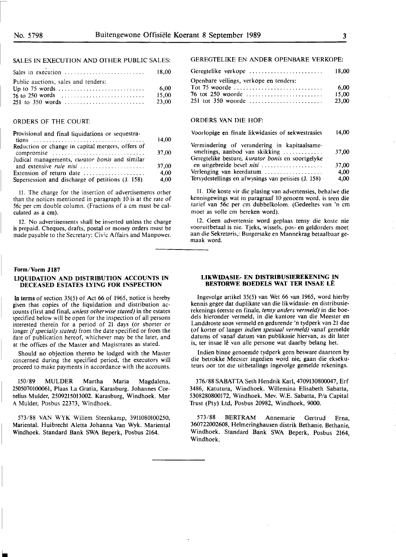# SALES IN EXECUTION AND OTHER PUBLIC SALES:

| Sales in execution                  | 18.00 |
|-------------------------------------|-------|
| Public auctions, sales and tenders: |       |
|                                     | 6.00  |
|                                     | 15.00 |
|                                     | 23.00 |

# ORDERS OF THE COURT:

| Provisional and final liquidations or sequestra-          |       |
|-----------------------------------------------------------|-------|
|                                                           | 14,00 |
| Reduction or change in capital mergers, offers of         |       |
| compromise                                                | 37.00 |
| Judical managements, curator bonis and similar            |       |
| and extensive rule nisi                                   | 37,00 |
| Extension of return date $\dots\dots\dots\dots\dots\dots$ | 4.00  |
| Supersession and discharge of petitions (J. 158)          | 4.00  |

11. The charge for the insertion of advertisements other than the notices mentioned in paragraph 10 is at the rate of 56c per cm double column. (Fractions of a cm must be calculated as a cm).

12. No advertisements shall be inserted unless the charge is prepaid. Cheques, drafts, postal or money orders must be made payable to the Secretary: Civic Affairs and Manpower.

#### Form/Vorm J187

#### **LIQUIDATION AND DISTRIBUTION ACCOUNTS IN DECEASED ESTATES LYING FOR INSPECTION**

In terms of section  $35(5)$  of Act 66 of 1965, notice is hereby given that copies of the liquidation and distribution accounts (first and final, *unless otherwise stated)* in the estates specified below will be open for the inspection of all persons interested therein for a period of 21 days (or shorter or longer if specially stated) from the date specified or from the date of publication hereof, whichever may be the later, and at the offices of the Master and Magistrates as stated.

Should no objection thereto be lodged with the Master concerned during the specified period, the executors will proceed to make payments in accordance with the accounts.

150/89 MULDER Martha Maria Magdalena, 2505070100061, Plaas La Gratia, Karasburg. Johannes Cornelius Mulder, 2509215013002. Karasburg, Windhoek. Mnr A Mulder, Posbus 22373, Windhoek.

573/88 **VAN WYK** Willem Steenkamp, 3911080100250, Mariental. Huibrecht Aletta Johanna Van Wyk. Mariental Windhoek. Standard Bank SWA Beperk, Posbus 2164.

# GEREGTELIKE EN ANDER OPENBARE VERKOPE:

| Geregtelike verkope                    | 18.00 |
|----------------------------------------|-------|
| Openbare veilings, verkope en tenders: |       |
|                                        | 6.00  |
| 76 tot 250 woorde                      | 15.00 |
|                                        | 23.00 |

# ORDERS VAN DIE HOF:

| Voorlopige en finale likwidasies of sekwestrasies                                     | 14,00 |
|---------------------------------------------------------------------------------------|-------|
| Vermindering of verandering in kapitaalsame-<br>smeltings, aanbod van skikking        | 37,00 |
| Geregtelike besture, kurator bonis en soortgelyke<br>en uitgebreide bevel <i>nisi</i> | 37,00 |
| Verlenging van keerdatum                                                              | 4.00  |
| Tersydestellings en afwysings van petisies (J. 158)                                   | 4.00  |

11. Die koste vir die plasing van advertensies, behalwe die kennisgewings wat in paragraaf 10 genoem word. is teen die tarief van 56c per cm dubbelkolom. (Gedeeltes van 'n cm moet as voile cm bereken word).

12. Geen advertensie word geplaas tensy die koste nie vooruitbetaal is nie. Tjeks, wissels, pos- en geldorders moet aan die Sekretaris,: Burgersake en Mannekrag betaalbaar gemaak word.

#### **LIKWIDASIE- EN DISTRIBUSIEREKENING IN BESTORWE BOEDELS WAT TER INSAE LÊ**

lngevolge artikel 35(5) van Wet 66 van 1965, word hierby kennis gegee dat duplikate van die likwidasie- en distribusierekenings (eerste en finale, *tensy anders vermeld)* in die boedels hieronder vermeld, in die kantore van die Meester en Landdroste soos vermeld en gedurende 'n tydperk van 21 dae (of korter of !anger *indien spesiaal vermeld)* vanaf gemelde datums of vanaf datum van publikasie hiervan, as dit later is, ter insae lê van alle persone wat daarby belang het.

lndien binne genoemde tydperk geen besware daarteen by die betrokke Meester ingedien word nie, gaan die eksekuteurs oor tot die uitbetalings ingevolge gemelde rekenings.

376/88 SABATTA Seth Hendrik Karl, 4709130800047, Erf 3486, Katutura, Windhoek. Willemina Elisabeth Sabatta, 5308280800172, Windhoek. Mev. W.E. Sabatta, P/a Capital Trust (Pty) Ltd, Posbus 20982, Windhoek, 9000.

573/88 BERTRAM Annemarie Gertrud Erna, 360722002608, Helmeringhausen distrik Bethanie. Bethanie, Windhoek. Standard Bank SWA Beperk, Posbus 2164, Windhoek.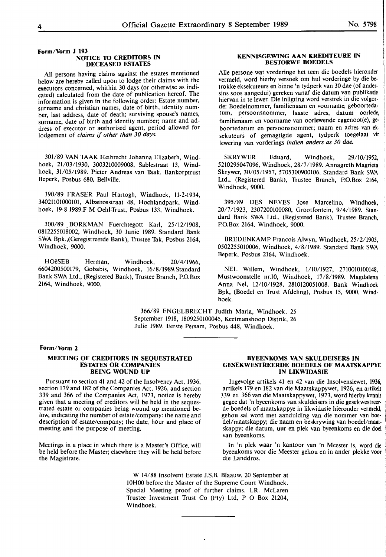#### **Form/Vorm J 193 NOTICE** TO **CREDITORS IN DECEASED ESTATES**

All persons having claims against the estates mentioned below are hereby called upon to lodge their claims with the executors concerned, whithin 30 days (or otherwise as indicated) calculated from the **date** of publication hereof. The information **is** given in the following order: Estate number, surname **and** christian names, date of birth, identity number, last address, date of death; surviving spouse's names, surname, date of birth and identity number; name and address of executor or authorised agent, period allowed for lodgement of *claims if other than 30 days.* 

301/89 VAN TAAK Heibrecht Johanna Elizabeth, Windhoek, 21/03/1930, 3003210009008, Sablestraat 13, Windhoek, 31/05/1989. Pieter Andreas van Taak. Bankorptrust Beperk, Posbus 680, Bellville.

390/89 FRASER Paul Hartogh, Windhoek, 11-2-1934, 34021101000101, Albatrosstraat 48, Hochlandpark, Windhoek, 19-8-1989.F **M** Oehl-Trust, Posbus 133, Windhoek.

300/89 \_BORKMAN Fuerchtegott Karl, 25/12/1908, 0812255018002, Windhoek, 30 Junie 1989. Standard Bank SWA Bpk.,(Geregistreerde Bank), Trustee Tak, Posbus 2164, Windhoek, 9000.

HOeSEB Herman, Windhoek, 20/4/1966, 6604200500179, Gobabis, Windhoek, 16/8/1989.Standard Bank SWA Ltd., (Registered Bank), Trustee Branch, P.O.Box 2164, Windhoek, 9000.

## **KENNISGEWING AAN KREDITEURE IN BESIDRWE BOEDELS**

Alie persone wat vorderinge het teen die boedels hieronder vermeld, word hierby versoek om hut vorderinge by die betrokke eksekuteurs en binne 'n tydperk van 30 dae (of andersins soos aangedui) gereken vanaf die datum van publikasie hiervan in te lewer. Die inligting word verstrek in die volgorde: Boedelnommer, familienaam en voorname, geboortedatum, persoonsnommer, laaste adres, datum oorlede, familienaam en voorname van oorlewende eggenoot(e), geboortedatum en persoonsnommer; naam en adres van eksekuteurs of gemagtigde agent, tydperk toegelaat vir lewering van vorderings *indien anders as 30 dae.* 

SKRYWER Eduard, Windhoek, 29/10/1952, 5210295047096, Windhoek, 28/7/1989. Annagreth Magrieta Skrywer, 30/05/1957, 5705300900106. Standard Bank SWA Ltd., (Registered Bank), Trustee Branch, P.O.Box 2164, Windhoek, 9000.

395/89 DES NEVES Jose Marcelino, Windhoek, 20/7/1923, 2307200100080, Grootfontein, 9/4/1989. Standard Bank SWA Ltd., (Registered Bank), Trustee Branch, P.O.Box 2164, Windhoek, 9000.

BREDENKAMP Francois Alwyn, Windhoek, 25/2/1905, 0502255010006, Windhoek, 4/8/1989. Standard Bank SWA Beperk, Posbus 2164, Windhoek.

NEL Willem, Windhoek, 1/10/1927, 2710010100148, Mustwoonstelle nr.10, Windhoek, 17/8/1989. Magdalena Anna Nel, 12/10/1928, 2810120051008. Bank Windhoek Bpk, (Boedel en Trust Afdeling), Posbus 15, 9000, Windhoek.

366/89 ENGELBRECHT Judith **Maria,** Windhoek, 25 September 1918, 1809250100045, Keetmanshoop Distrik, 26 Julie 1989. Eerste Persam, Posbus 448, Windhoek.

#### **Form/Vorm 2**

#### **MEETING OF CREDITORS IN SEQUESTRATED ESTATES OR COMPANIES BEING WOUND UP**

Pursuant to section 41 and 42 of the Insolvency Act, 1936, section 179 and 182 of the Companies Act, 1926, and section 339 and 366 of the Companies Act, 1973, notice is hereby given that a meeting of creditors will be held in the sequestrated estate or companies being wound up mentioned below, indicating the number of estate/company: the name and description of estate/company; the date, hour and place of meeting and the purpose of meeting.

Meetings in a place in which there is a Master's Office, will be held before the Master; elsewhere they **will** be held before the Magistrate.

#### **BYEENKOMS VAN SKULDEISERS IN GESEKWESTREERDE BOEDELS OF MAATSKAPPYE IN LIKWIDASIE**

lngevolge artikels 41 en 42 van die Insolvensiewet, 1936, artikels 179 en 182 van die Maatskappywet, 1926, en artikels ,39 en 366van die Maatskappywet, 1973, word hierby kennis gegee **dat 'n** byeenkoms **van** skuldeisers **in die** gesekwestreerde boedels **of** maatskappye **in** likwidasie hieronder vermeld, gehou sal word met aanduiding van die nommer van boedel/maatskappy; die naam en beskrywing van boedel/maatskappy; die datum, uur en plek van byeenkoms en die doel van byeenkoms.

In 'n plek waar 'n kantoor van 'n Meester is, word die byeenkoms voor die Meester gehou en in ander plekke voor die Landdros.

**W** 14/88 Insolvent Estate J.S.B. Blaauw. 20 September at **lOHOO** before the Master of the Supreme Court Windhoek. Special Meeting proof of further claims. l.R. McLaren Trustee Investment Trust Co (Pty) Ltd, P O Box 21204, Windhoek.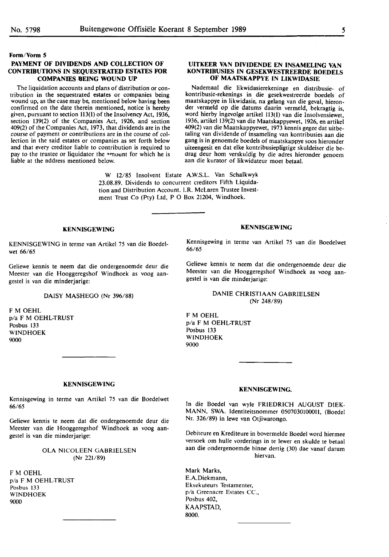#### **Form/Vorm 5**

## **PAYMENT OF DIVIDENDS AND COLLECTION OF CONTRIBUTIONS IN SEQUESTRATED ESTATES FOR COMPANIES BEING WOUND UP**

The liquidation accounts and plans of distribution or contribution in the sequestrated estates or companies being wound up, as the case may be, mentioned below having been confirmed on the date therein mentioned, notice is hereby given, pursuant to section 113(1) of the Insolvency Act, 1936, section 139(2) of the Companies Act, 1926, and section 409(2) of the Companies Act, 1973, that dividends are in the course of payment or contributions are in the course of collection in the said estates or companies as set forth below and that every creditor liable to contribution is required to pay to the trustee or liquidator the <sup>2</sup>mount for which he is liable at the address mentioned below.

#### **UITKEER VAN DIVIDENDE EN INSAMELING VAN KONTRIBUSIES IN GESEKWESTREERDE BOEDELS OF MAATSKAPPYE IN LIKWIDASIE**

Nademaal die likwidasierekeninge en distribusie- of kontribusie-rekenings in die gesekwestreerde boedels of maatskappye in likwidasie, na gelang van die geval, hieronder vermeld op die datums daarin vermeld, bekragtig is, word hierby ingevolge artikel 113(1) van die Insolvensiewet, 1936, artikel 139(2) van die Maatskappyewet, 1926, en artikel 409(2) van die Maatskappyewet, 1973 kennis gegee dat uitbetaling van dividende of insameling van kontribusies aan die gang is in genoemde boedels of maatskappye soos hieronder uiteengesit en dat elke kontribusiepligtige skuldeiser die bedrag deur hom verskuldig by die adres hieronder genoem aan die kurator of likwidateur moet betaal.

W 12/85 Insolvent Estate A.W.S.L. Van Schalkwyk 23.08.89. Dividends to concurrent creditors Fifth Liquidation and Distribution Account. I.R. McLaren Trustee Investment Trust Co (Pty) Ltd, P O Box 21204, Windhoek.

#### **KENNISGEWING**

KENNISGEWING in terme van Artikel 75 van die Boedelwet 66/65

Geliewe kennis **te neem dat** die ondergenoemde **deur die**  Meester van **die Hooggeregshof** Windhoek **as voog aan**gestel is van **die minderjarige:** 

#### **DAISY MASHEGO** (Nr 396/88)

**FM OEHL**  p/a F M OEHL-TRUST Posbus 133 **WINDHOEK**  9000

# **KENNISGEWING**

Kennisgewing in terme van Artikel 75 van die Boedelwet 66/65

Geliewe kennis te neem dat die ondergenoemde deur die Meester van die Hooggeregshof Windhoek as voog aangestel is van die minderjarige:

# **DANIE** CHRISTIAAN GABRIELSEN (Nr 248/89)

F M OEHL p/a F M OEHL-TRUST Posbus 133 WINDHOEK 9000

#### **KENNISGEWING**

Kennisgewing in terme van Artikel 75 van die Boedelwet 66/65

Geliewe kennis te neem dat die ondergenoemde deur die Meester van **die Hooggeregshof** Windhoek **as voog aan**gestel is van **die minderjarige:** 

> OLA NICOLEEN **GABRIELSEN**  (Nr **221/89)**

FM OEHL p/a F M OEHL-TRUST Posbus 133 WINDHOEK 9000

#### **KENNISGEWING.**

In die Boedel van wyle FRIEDRICH AUGUST DIEK-MANN, SWA. Identiteitsnommer 0507030100011, (Boedel Nr. 326/89) in lewe van Otjiwarongo.

Debiteure en Krediteure in bovermelde Boedel word hiermee versoek om hulle vorderings in te lewer en skulde te betaal **aan die** ondergenoemde **binne dertig (30)** dae vanaf datum **hiervan.** 

Mark Marks, E.A.Diekmann, Eksekuteurs Testamenter, p/a Greenacre Estates CC., Posbus 402, KAAPSTAD, **8000.**